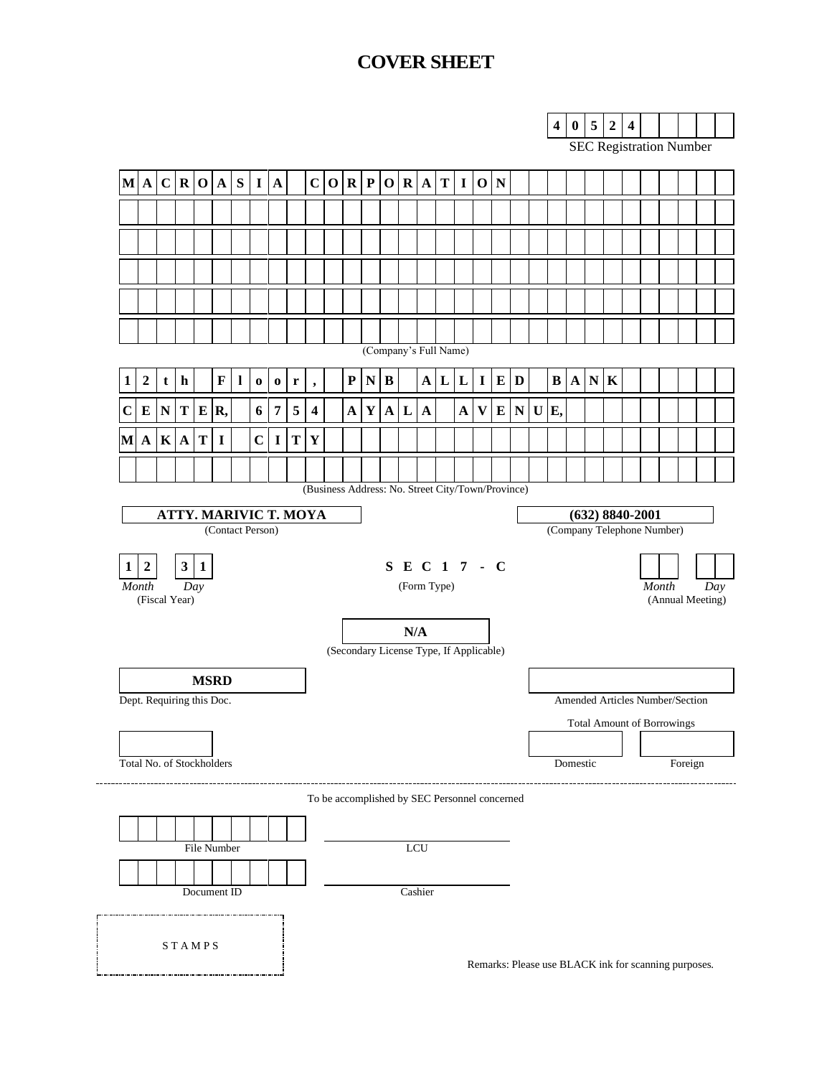# **COVER SHEET**

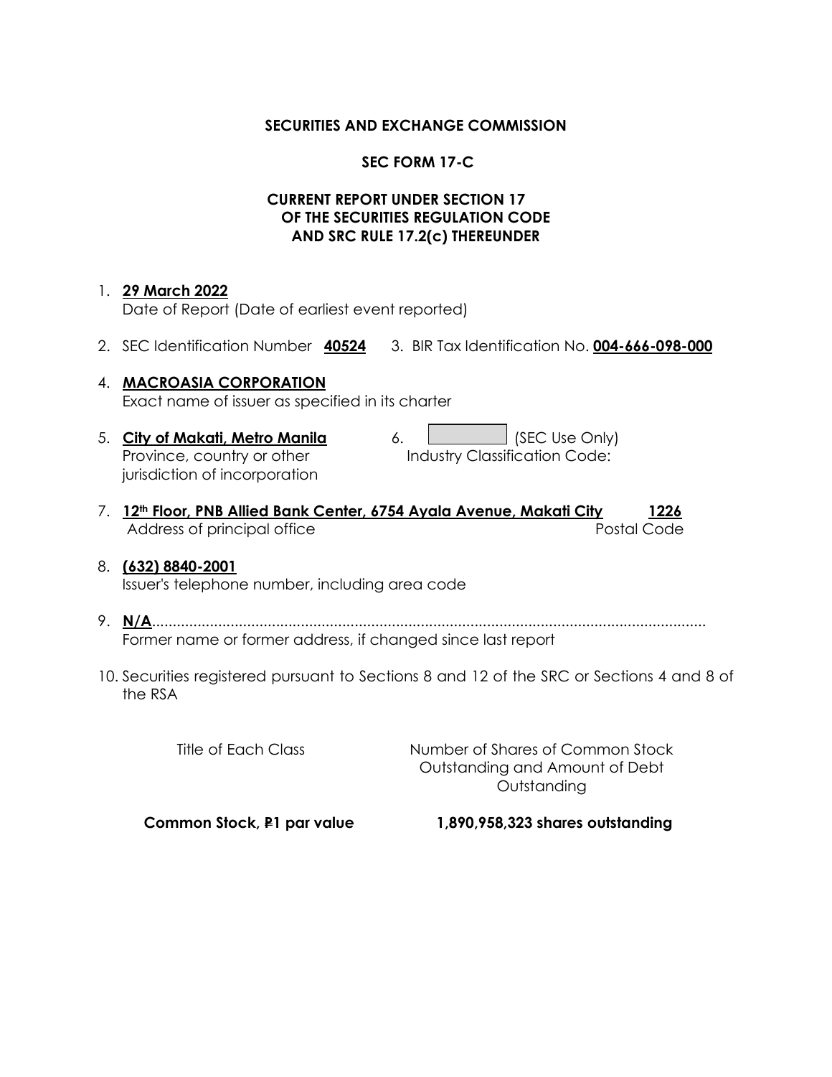### **SECURITIES AND EXCHANGE COMMISSION**

#### **SEC FORM 17-C**

## **CURRENT REPORT UNDER SECTION 17 OF THE SECURITIES REGULATION CODE AND SRC RULE 17.2(c) THEREUNDER**

#### 1. **29 March 2022**

Date of Report (Date of earliest event reported)

- 2. SEC Identification Number **40524** 3. BIR Tax Identification No. **004-666-098-000**
- 4. **MACROASIA CORPORATION** Exact name of issuer as specified in its charter
- 5. **City of Makati, Metro Manila** 6. **City of Makati, Metro Manila** 6. Province, country or other jurisdiction of incorporation Industry Classification Code:
- 7. **12th Floor, PNB Allied Bank Center, 6754 Ayala Avenue, Makati City 1226** Address of principal office **Postal Code** Postal Code

# 8. **(632) 8840-2001**

Issuer's telephone number, including area code

- 9. **N/A**...................................................................................................................................... Former name or former address, if changed since last report
- 10. Securities registered pursuant to Sections 8 and 12 of the SRC or Sections 4 and 8 of the RSA

Title of Each Class Number of Shares of Common Stock Outstanding and Amount of Debt **Outstanding** 

 **Common Stock, P1 par value 1,890,958,323 shares outstanding**